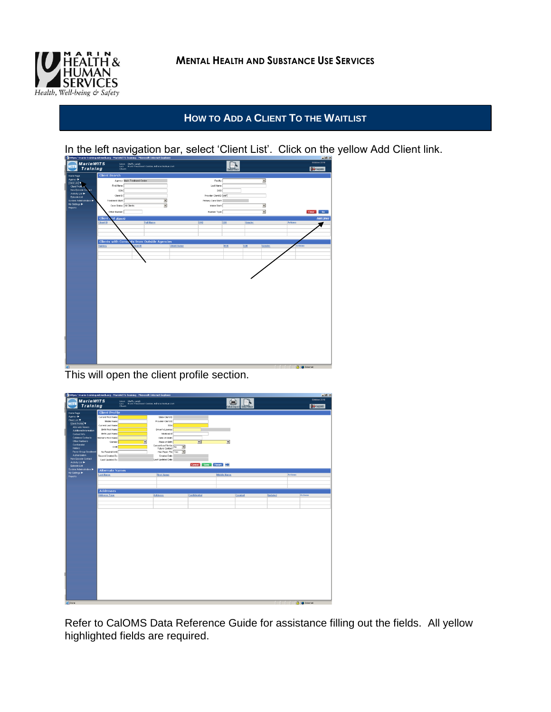

## **HOW TO ADD A CLIENT TO THE WAITLIST**



In the left navigation bar, select 'Client List'. Click on the yellow Add Client link.

This will open the client profile section.

| https://marin-training.witsweb.org - MarinWITS Training - Microsoft Internet Explorer<br>$-18$ |                         |                                                                                       |                                       |                          |                          |                 |                |         |                     |
|------------------------------------------------------------------------------------------------|-------------------------|---------------------------------------------------------------------------------------|---------------------------------------|--------------------------|--------------------------|-----------------|----------------|---------|---------------------|
| <b>MarinWITS</b>                                                                               |                         |                                                                                       |                                       |                          |                          |                 |                |         | October 2010        |
| WIT<br>Training                                                                                |                         | Usen - Steffy, Leigh<br>Lac: - Marin Treatment Center, Administrative Unit<br>Client: |                                       |                          |                          |                 |                |         | <b>P</b> frequent   |
|                                                                                                |                         |                                                                                       |                                       |                          | <b>Ruther Company</b>    | <b>CARDYRIC</b> |                |         |                     |
| Home Page                                                                                      | <b>Client Profile</b>   |                                                                                       |                                       |                          |                          |                 |                |         |                     |
| Agency >                                                                                       | Current First Name      |                                                                                       | State Client D                        |                          |                          |                 |                |         |                     |
| Client List                                                                                    | Middle Norne            |                                                                                       | Provider Clerk D                      |                          |                          |                 |                |         |                     |
| Clert Profile                                                                                  | Current Last Name       |                                                                                       | SSN                                   |                          |                          |                 |                |         |                     |
| Atemate Names<br>Additional Information                                                        | <b>Birth First Name</b> |                                                                                       | Driver's License                      |                          |                          |                 |                |         |                     |
| Contact Info                                                                                   | <b>Birth Last Name</b>  |                                                                                       | Medicald #                            |                          |                          |                 |                |         |                     |
| <b>Collisteral Contacts</b>                                                                    | Mother's First Name     |                                                                                       | Date of Death                         |                          |                          |                 |                |         |                     |
| <b>Other Numbers</b>                                                                           | Gender                  | Ξ                                                                                     | Place of Birth                        | 回                        | $\overline{\phantom{a}}$ |                 |                |         |                     |
| Confidential                                                                                   | DOB                     |                                                                                       | Consent on File for<br>Future Contact |                          |                          |                 |                |         |                     |
| <b>History</b>                                                                                 |                         |                                                                                       |                                       | Ξ                        |                          |                 |                |         |                     |
| Payor Group Enrolment<br>Authorization                                                         | No Readmit Until        |                                                                                       | Has Paper File Yes                    | $\overline{\phantom{a}}$ |                          |                 |                |         |                     |
| Non-Episode Contact                                                                            | Record Crested By       |                                                                                       | Created Date<br>Last Updated Date     |                          |                          |                 |                |         |                     |
| Activity List >                                                                                | Last Updated By         |                                                                                       |                                       |                          |                          |                 |                |         |                     |
| Episode List                                                                                   |                         |                                                                                       |                                       | Cancel Save Finish       |                          |                 |                |         |                     |
| System Administration                                                                          | <b>Alternate Names</b>  |                                                                                       |                                       |                          |                          |                 |                |         |                     |
| My Settings<br>Reports                                                                         | <b>Last Bame</b>        |                                                                                       | <b>First Hame</b>                     |                          | Middle Hame              |                 |                | Actions |                     |
|                                                                                                |                         |                                                                                       |                                       |                          |                          |                 |                |         |                     |
|                                                                                                |                         |                                                                                       |                                       |                          |                          |                 |                |         |                     |
|                                                                                                |                         |                                                                                       |                                       |                          |                          |                 |                |         |                     |
|                                                                                                | <b>Addresses</b>        |                                                                                       |                                       |                          |                          |                 |                |         |                     |
|                                                                                                | <b>Address Type</b>     |                                                                                       | <b>Address</b>                        | Confidential             |                          | Created         | <b>Updated</b> |         | Actions             |
|                                                                                                |                         |                                                                                       |                                       |                          |                          |                 |                |         |                     |
|                                                                                                |                         |                                                                                       |                                       |                          |                          |                 |                |         |                     |
|                                                                                                |                         |                                                                                       |                                       |                          |                          |                 |                |         |                     |
|                                                                                                |                         |                                                                                       |                                       |                          |                          |                 |                |         |                     |
|                                                                                                |                         |                                                                                       |                                       |                          |                          |                 |                |         |                     |
|                                                                                                |                         |                                                                                       |                                       |                          |                          |                 |                |         |                     |
|                                                                                                |                         |                                                                                       |                                       |                          |                          |                 |                |         |                     |
|                                                                                                |                         |                                                                                       |                                       |                          |                          |                 |                |         |                     |
|                                                                                                |                         |                                                                                       |                                       |                          |                          |                 |                |         |                     |
|                                                                                                |                         |                                                                                       |                                       |                          |                          |                 |                |         |                     |
|                                                                                                |                         |                                                                                       |                                       |                          |                          |                 |                |         |                     |
|                                                                                                |                         |                                                                                       |                                       |                          |                          |                 |                |         |                     |
|                                                                                                |                         |                                                                                       |                                       |                          |                          |                 |                |         |                     |
|                                                                                                |                         |                                                                                       |                                       |                          |                          |                 |                |         |                     |
|                                                                                                |                         |                                                                                       |                                       |                          |                          |                 |                |         |                     |
|                                                                                                |                         |                                                                                       |                                       |                          |                          |                 |                |         |                     |
|                                                                                                |                         |                                                                                       |                                       |                          |                          |                 |                |         |                     |
|                                                                                                |                         |                                                                                       |                                       |                          |                          |                 |                |         |                     |
|                                                                                                |                         |                                                                                       |                                       |                          |                          |                 |                |         |                     |
|                                                                                                |                         |                                                                                       |                                       |                          |                          |                 |                |         |                     |
|                                                                                                |                         |                                                                                       |                                       |                          |                          |                 |                |         |                     |
|                                                                                                |                         |                                                                                       |                                       |                          |                          |                 |                |         |                     |
|                                                                                                |                         |                                                                                       |                                       |                          |                          |                 |                |         |                     |
|                                                                                                |                         |                                                                                       |                                       |                          |                          |                 |                |         |                     |
|                                                                                                |                         |                                                                                       |                                       |                          |                          |                 |                |         |                     |
| e) Done                                                                                        |                         |                                                                                       |                                       |                          |                          |                 |                |         | <b>A p</b> Internet |
|                                                                                                |                         |                                                                                       |                                       |                          |                          |                 |                |         |                     |

Refer to CalOMS Data Reference Guide for assistance filling out the fields. All yellow highlighted fields are required.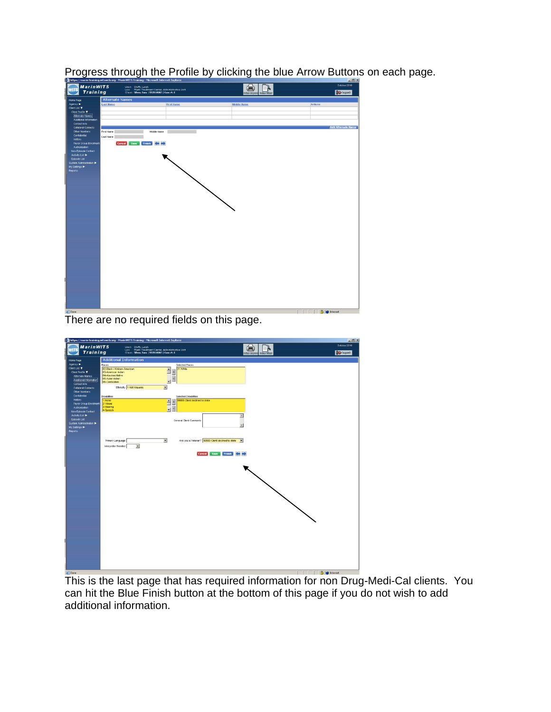

Progress through the Profile by clicking the blue Arrow Buttons on each page.

There are no required fields on this page.



This is the last page that has required information for non Drug-Medi-Cal clients. You can hit the Blue Finish button at the bottom of this page if you do not wish to add additional information.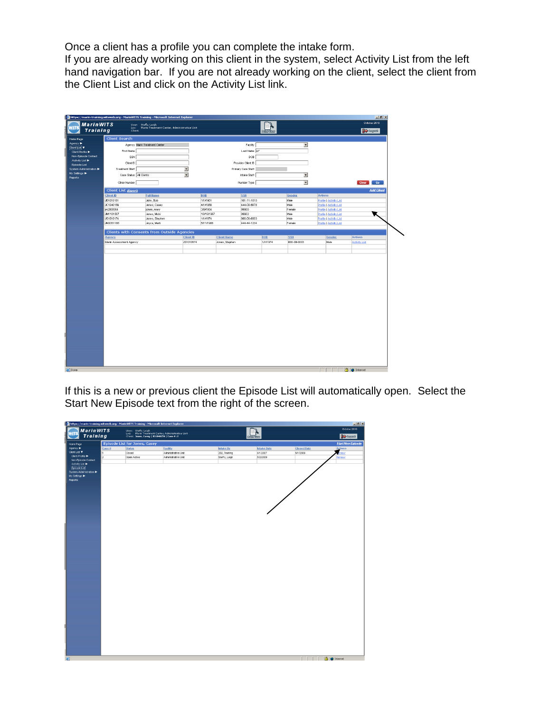Once a client has a profile you can complete the intake form.

If you are already working on this client in the system, select Activity List from the left hand navigation bar. If you are not already working on the client, select the client from the Client List and click on the Activity List link.

|                                             |                                             | https://marin-training.witsweb.org - MarinWITS Training - Microsoft Internet Explorer |                                        |          |                      |                        |                          |                                | $-10 \times$                    |  |  |
|---------------------------------------------|---------------------------------------------|---------------------------------------------------------------------------------------|----------------------------------------|----------|----------------------|------------------------|--------------------------|--------------------------------|---------------------------------|--|--|
| <b>MarinWITS</b><br>WITS<br><b>Training</b> | Clients                                     | User: Steffy, Leigh<br>Loc: Marin Treatment Center, Administrative Unit               |                                        |          |                      | <b>Bulln's Village</b> |                          |                                | October 2010<br><b>P</b> Legent |  |  |
| Home Page                                   | <b>Client Search</b>                        |                                                                                       |                                        |          |                      |                        |                          |                                |                                 |  |  |
| Agency >                                    |                                             | Agency Marin Treatment Center                                                         |                                        |          | Facilty              |                        | $\overline{z}$           |                                |                                 |  |  |
| Client List V                               | First Name                                  |                                                                                       |                                        |          | Last Name Jo*        |                        |                          |                                |                                 |  |  |
| Client Profile<br>Non-Episode Contact       |                                             |                                                                                       |                                        |          | DOB                  |                        |                          |                                |                                 |  |  |
| Activity List ▶                             | SSN                                         |                                                                                       |                                        |          |                      |                        |                          |                                |                                 |  |  |
| Episode List                                | Client ID                                   |                                                                                       |                                        |          | Provider Client ID   |                        |                          |                                |                                 |  |  |
| System Administration                       | <b>Treatment Staff</b>                      |                                                                                       | $\blacksquare$                         |          | Primary Care Staff   |                        |                          |                                |                                 |  |  |
| My Settings >                               | Case Status All Clients                     |                                                                                       | $\blacksquare$                         |          | Intake Staff         |                        | $\overline{\phantom{a}}$ |                                |                                 |  |  |
| <b>Reports</b>                              | Other Number                                |                                                                                       |                                        |          | Number Type          |                        | $\overline{\mathbf{z}}$  |                                | Clear Go                        |  |  |
|                                             | <b>Add Client</b><br>Client List (Export)   |                                                                                       |                                        |          |                      |                        |                          |                                |                                 |  |  |
|                                             | Client ID                                   | <b>Full Hame</b>                                                                      | DOB                                    |          | <b>SSIL</b>          |                        | Gender                   | Actions                        |                                 |  |  |
|                                             | JB1010181                                   | John, Bob                                                                             | 1/1/1981                               |          | 101-11-1010          |                        | Male                     | <b>Profile   Activity List</b> |                                 |  |  |
|                                             | JC1040156                                   | Jones, Casey                                                                          | 4/1/1956                               |          | 444-00-5678          | Male                   |                          | Profile   Activity List        |                                 |  |  |
|                                             | jm2030954                                   | jones, mary                                                                           |                                        | 3/9/1954 | 99900                | Female                 |                          | <b>Profile   Activity List</b> |                                 |  |  |
|                                             | JM1101567                                   | Jones, Micki                                                                          | 10/15/1967                             |          | 99902<br>000-00-0003 |                        | Mole                     | ĸ<br>Profile   Activity List   |                                 |  |  |
|                                             | JS1010174                                   | Jones, Stephen                                                                        | 1/1/1974                               |          |                      |                        | Male                     | <b>Profile   Activity List</b> |                                 |  |  |
|                                             | JM205118B                                   | Joyce, Marti                                                                          | 5/11/1988                              |          | 444-44-1234          |                        | Female                   | Profile   Activity List        |                                 |  |  |
|                                             | Clients with Consents from Outside Agencies |                                                                                       |                                        |          |                      |                        |                          |                                |                                 |  |  |
|                                             | Agency                                      |                                                                                       | <b>Client ID</b><br><b>Client Hame</b> |          | DOB                  |                        | <b>SSN</b><br>Gender     |                                | Actions                         |  |  |
|                                             | Marin Assessment Agency                     |                                                                                       | JS1010174<br>Jones, Stephen            |          | 1/1/1974             |                        | 000-00-0003              | Male                           | Activity List                   |  |  |
|                                             |                                             |                                                                                       |                                        |          |                      |                        |                          |                                |                                 |  |  |
|                                             |                                             |                                                                                       |                                        |          |                      |                        |                          |                                |                                 |  |  |
| Done                                        |                                             |                                                                                       |                                        |          |                      |                        |                          |                                | ₿<br><b>D</b> Internet          |  |  |

If this is a new or previous client the Episode List will automatically open. Select the Start New Episode text from the right of the screen.

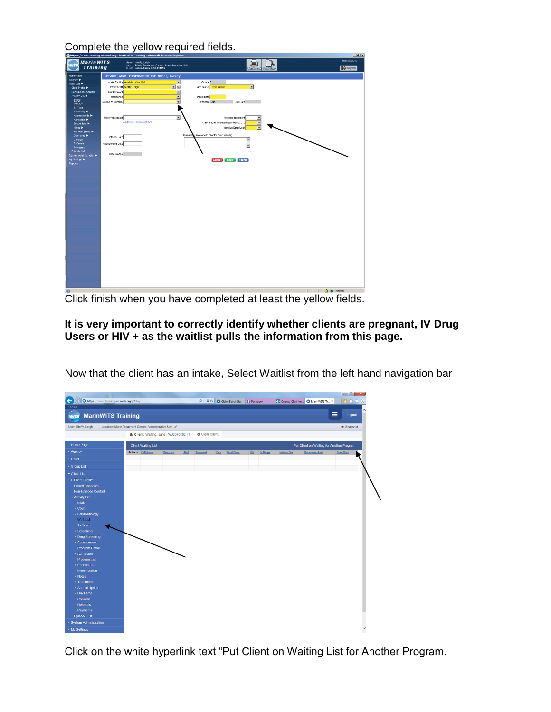Complete the yellow required fields.

| <b>MarinWITS</b><br>71 L<br>Training | inches's communication in the property of the community of manual contraction more community and<br>User: Steffy, Leigh<br>Loc: Marin Treatment Center, Administrative Unit<br>Client: Jones, Casey   JC1040156 |                                                   | <u>__</u><br>October 2010 |
|--------------------------------------|-----------------------------------------------------------------------------------------------------------------------------------------------------------------------------------------------------------------|---------------------------------------------------|---------------------------|
|                                      |                                                                                                                                                                                                                 | <b>Robert Corporate</b><br><b>Bulling Clients</b> | <b>Department</b>         |
| Home Page                            | <b>Intake Case Information for Jones, Casey</b>                                                                                                                                                                 |                                                   |                           |
| Agency ><br>Client List              | Intake Facility Administrative Unit<br>Ξ                                                                                                                                                                        | Case #3                                           |                           |
| Clert Profie                         | $\overline{z}$ s.<br>Intake Staff Steffy, Leigh                                                                                                                                                                 | $\blacksquare$<br>Case Status Open Active         |                           |
| Non-Episode Contact                  | Initial Contact                                                                                                                                                                                                 |                                                   |                           |
| Activity List $\Psi$                 | E<br>Residence                                                                                                                                                                                                  | Inteke Dote                                       |                           |
| <b>Freske</b>                        | Ξ<br>Source of Referral                                                                                                                                                                                         | Due Date<br>Pregnont B-No                         |                           |
| <b>Vilat List</b>                    |                                                                                                                                                                                                                 |                                                   |                           |
| Tx Team                              |                                                                                                                                                                                                                 |                                                   |                           |
| Screening <b>D</b><br>Assessments    |                                                                                                                                                                                                                 |                                                   |                           |
| Admission >                          | Referral Contact<br>z                                                                                                                                                                                           | Prenatal Treatment<br>E                           |                           |
| Encounters >                         | Add Referral Contact Info                                                                                                                                                                                       | Chronic Life Threatening liness (CLTI)            |                           |
| Notes >                              |                                                                                                                                                                                                                 | Injection Drug User                               |                           |
| Armuel Update                        |                                                                                                                                                                                                                 |                                                   |                           |
| Discharge >                          | Referral Date                                                                                                                                                                                                   | Presenting Problem (In Client's Own Words)        |                           |
| Consent                              |                                                                                                                                                                                                                 | $\triangle$                                       |                           |
| Referrals                            | Assessment Date                                                                                                                                                                                                 | $\overline{z}$                                    |                           |
| Payments<br><b>Episode List</b>      |                                                                                                                                                                                                                 |                                                   |                           |
| System Administration                | Date Closed                                                                                                                                                                                                     |                                                   |                           |
| My Settings                          |                                                                                                                                                                                                                 | Cancel Save Finish                                |                           |
| Reports                              |                                                                                                                                                                                                                 |                                                   |                           |
|                                      |                                                                                                                                                                                                                 |                                                   |                           |
|                                      |                                                                                                                                                                                                                 |                                                   |                           |
|                                      |                                                                                                                                                                                                                 |                                                   |                           |
|                                      |                                                                                                                                                                                                                 |                                                   |                           |
|                                      |                                                                                                                                                                                                                 |                                                   |                           |
|                                      |                                                                                                                                                                                                                 |                                                   |                           |
|                                      |                                                                                                                                                                                                                 |                                                   |                           |
|                                      |                                                                                                                                                                                                                 |                                                   |                           |
|                                      |                                                                                                                                                                                                                 |                                                   |                           |
|                                      |                                                                                                                                                                                                                 |                                                   |                           |
|                                      |                                                                                                                                                                                                                 |                                                   |                           |
|                                      |                                                                                                                                                                                                                 |                                                   |                           |
|                                      |                                                                                                                                                                                                                 |                                                   |                           |
|                                      |                                                                                                                                                                                                                 |                                                   |                           |
|                                      |                                                                                                                                                                                                                 |                                                   |                           |
|                                      |                                                                                                                                                                                                                 |                                                   |                           |
|                                      |                                                                                                                                                                                                                 |                                                   |                           |
|                                      |                                                                                                                                                                                                                 |                                                   |                           |
|                                      |                                                                                                                                                                                                                 |                                                   |                           |
|                                      |                                                                                                                                                                                                                 |                                                   |                           |
|                                      |                                                                                                                                                                                                                 |                                                   |                           |
|                                      |                                                                                                                                                                                                                 |                                                   |                           |
|                                      |                                                                                                                                                                                                                 |                                                   |                           |
|                                      |                                                                                                                                                                                                                 |                                                   |                           |
|                                      |                                                                                                                                                                                                                 |                                                   |                           |
|                                      |                                                                                                                                                                                                                 |                                                   |                           |
|                                      |                                                                                                                                                                                                                 |                                                   |                           |
| 167                                  |                                                                                                                                                                                                                 |                                                   | <b>A</b> <i>Internal</i>  |

Click finish when you have completed at least the yellow fields.

## **It is very important to correctly identify whether clients are pregnant, IV Drug Users or HIV + as the waitlist pulls the information from this page.**

| $\leftarrow$<br>https://marin-training.witsweb.org/p#stay                      |                                         |                        | $\mathcal{P}$ + $\triangleq$ C $\bigcirc$ Claim Batch List $\bigcirc$ Facebook |                 |                    | County Clerk An MarinWITS Tr X            | 目令女怨              |
|--------------------------------------------------------------------------------|-----------------------------------------|------------------------|--------------------------------------------------------------------------------|-----------------|--------------------|-------------------------------------------|-------------------|
| 17.19.0<br><b>MarinWITS Training</b><br><b>WITS</b>                            |                                         |                        |                                                                                |                 |                    | Ξ                                         | Logout            |
| User: Steffy, Leigh  <br>Location: Marin Treatment Center, Administrative Unit |                                         |                        |                                                                                |                 |                    |                                           | <b>®</b> Snapshot |
|                                                                                | & Client: Waiting, Jane   WJ2070182   1 | <b>O</b> Clear Client  |                                                                                |                 |                    |                                           |                   |
| Home Page<br><b>Client Waiting List</b>                                        |                                         |                        |                                                                                |                 |                    | Put Client on Waiting for Another Program |                   |
| > Agency<br>Actions Full Name                                                  | Program<br>Staff                        | Pregnant<br><b>Due</b> | Dual Diag.                                                                     | HIV<br>IV Drugs | <b>Interim Ser</b> | <b>Placement Asst</b>                     | <b>Start Date</b> |
| ▶ Court                                                                        |                                         |                        |                                                                                |                 |                    |                                           |                   |
| ▶ Group List                                                                   |                                         |                        |                                                                                |                 |                    |                                           |                   |
| Client List                                                                    |                                         |                        |                                                                                |                 |                    |                                           |                   |
| Client Profile                                                                 |                                         |                        |                                                                                |                 |                    |                                           |                   |
| <b>Linked Consents</b>                                                         |                                         |                        |                                                                                |                 |                    |                                           |                   |
| Non-Episode Contact                                                            |                                         |                        |                                                                                |                 |                    |                                           |                   |
| - Activity List                                                                |                                         |                        |                                                                                |                 |                    |                                           |                   |
| Intake                                                                         |                                         |                        |                                                                                |                 |                    |                                           |                   |
| Court                                                                          |                                         |                        |                                                                                |                 |                    |                                           |                   |
| ▶ Lab/Radiology                                                                |                                         |                        |                                                                                |                 |                    |                                           |                   |
| <b>Wait List</b>                                                               |                                         |                        |                                                                                |                 |                    |                                           |                   |
| <b>Tx Team</b>                                                                 |                                         |                        |                                                                                |                 |                    |                                           |                   |
| $\rightarrow$ Screening                                                        |                                         |                        |                                                                                |                 |                    |                                           |                   |
| ▶ Drug Screening                                                               |                                         |                        |                                                                                |                 |                    |                                           |                   |
| Assessments                                                                    |                                         |                        |                                                                                |                 |                    |                                           |                   |
| <b>Program Enroll</b>                                                          |                                         |                        |                                                                                |                 |                    |                                           |                   |
| Admission                                                                      |                                         |                        |                                                                                |                 |                    |                                           |                   |
| <b>Problem List</b>                                                            |                                         |                        |                                                                                |                 |                    |                                           |                   |
| $\rightarrow$ Encounters                                                       |                                         |                        |                                                                                |                 |                    |                                           |                   |
| Immunization<br>D Notes                                                        |                                         |                        |                                                                                |                 |                    |                                           |                   |
| > Treatment                                                                    |                                         |                        |                                                                                |                 |                    |                                           |                   |
| Annual Update                                                                  |                                         |                        |                                                                                |                 |                    |                                           |                   |
| > Discharge                                                                    |                                         |                        |                                                                                |                 |                    |                                           |                   |
| Consent                                                                        |                                         |                        |                                                                                |                 |                    |                                           |                   |
| Referrals                                                                      |                                         |                        |                                                                                |                 |                    |                                           |                   |
| Payments                                                                       |                                         |                        |                                                                                |                 |                    |                                           |                   |
| <b>Episode List</b>                                                            |                                         |                        |                                                                                |                 |                    |                                           |                   |
| ▶ System Administration                                                        |                                         |                        |                                                                                |                 |                    |                                           |                   |
| ▶ My Settings                                                                  |                                         |                        |                                                                                |                 |                    |                                           |                   |

Now that the client has an intake, Select Waitlist from the left hand navigation bar

Click on the white hyperlink text "Put Client on Waiting List for Another Program.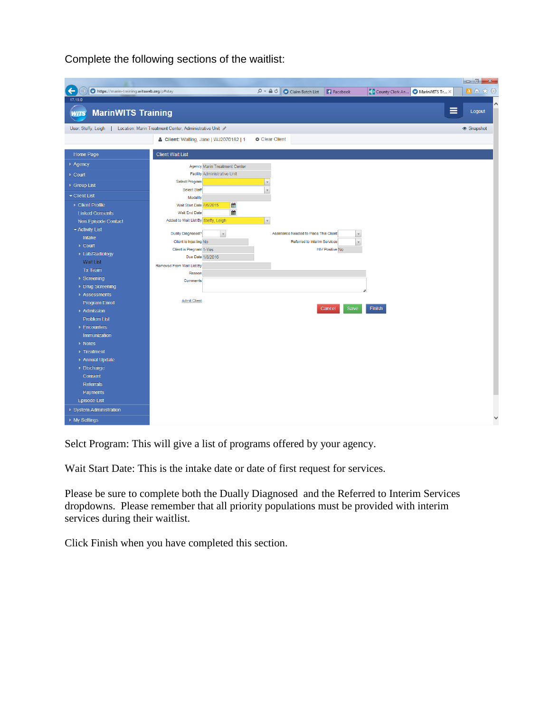Complete the following sections of the waitlist:

| https://marin-training.witsweb.org/p#stay<br>←                              |                                                     | $\mathcal{P}$ $\bullet$ $\mathbf{A}$ $\bullet$ $\mathbf{C}$ Claim Batch List <b>F</b> Facebook |                                        |                        |               | 1 County Clerk An MarinWITS Tr X | 日价大数     |  |
|-----------------------------------------------------------------------------|-----------------------------------------------------|------------------------------------------------------------------------------------------------|----------------------------------------|------------------------|---------------|----------------------------------|----------|--|
| 17.19.0                                                                     |                                                     |                                                                                                |                                        |                        |               |                                  |          |  |
| <b>MarinWITS Training</b><br><b>WITS</b>                                    |                                                     |                                                                                                |                                        |                        |               | ≡                                | Logout   |  |
| User: Steffy, Leigh   Location: Marin Treatment Center, Administrative Unit |                                                     |                                                                                                |                                        |                        |               |                                  | Snapshot |  |
|                                                                             | & Client: Waiting, Jane   WJ2070182   1             | <b>O</b> Clear Client                                                                          |                                        |                        |               |                                  |          |  |
| Home Page                                                                   | <b>Client Wait List</b>                             |                                                                                                |                                        |                        |               |                                  |          |  |
| ▶ Agency                                                                    | <b>Agency Marin Treatment Center</b>                |                                                                                                |                                        |                        |               |                                  |          |  |
| ▶ Court                                                                     | <b>Facility Administrative Unit</b>                 |                                                                                                |                                        |                        |               |                                  |          |  |
| ▶ Group List                                                                | Select Program                                      | v                                                                                              |                                        |                        |               |                                  |          |  |
| $\blacktriangleright$ Client List                                           | Select Staff                                        |                                                                                                |                                        |                        |               |                                  |          |  |
|                                                                             | Modality                                            |                                                                                                |                                        |                        |               |                                  |          |  |
| ▶ Client Profile                                                            | 鯔<br>Wait Start Date 7/6/2015<br>饂<br>Wait End Date |                                                                                                |                                        |                        |               |                                  |          |  |
| <b>Linked Consents</b>                                                      | Added to Wait List By Steffy, Leigh                 | $\forall$                                                                                      |                                        |                        |               |                                  |          |  |
| Non-Episode Contact                                                         |                                                     |                                                                                                |                                        |                        |               |                                  |          |  |
| $\blacktriangledown$ Activity List                                          | Dually Diagnosed?<br>$\mathbf v$                    |                                                                                                | Assistance Needed to Place This Client | $\mathbb {V}$          |               |                                  |          |  |
| Intake<br>$\triangleright$ Court                                            | Client is Injecting No.                             |                                                                                                | Referred to Interim Services           | $\bar{\mathbf{v}}$     |               |                                  |          |  |
| ▶ Lab/Radiology                                                             | Client is Pregnant 1-Yes                            |                                                                                                |                                        | <b>HIV Positive No</b> |               |                                  |          |  |
| <b>Wait List</b>                                                            | Due Date 1/8/2016                                   |                                                                                                |                                        |                        |               |                                  |          |  |
| Tx Team                                                                     | Removed From Wait List By                           |                                                                                                |                                        |                        |               |                                  |          |  |
| $\triangleright$ Screening                                                  | Reason                                              |                                                                                                |                                        |                        |               |                                  |          |  |
| ▶ Drug Screening                                                            | Comments                                            |                                                                                                |                                        |                        |               |                                  |          |  |
| ▶ Assessments                                                               |                                                     |                                                                                                |                                        |                        |               |                                  |          |  |
| <b>Program Enroll</b>                                                       | <b>Admit Client</b>                                 |                                                                                                |                                        |                        |               |                                  |          |  |
| Admission                                                                   |                                                     |                                                                                                |                                        | Save<br>Cancel         | <b>Finish</b> |                                  |          |  |
| <b>Problem List</b>                                                         |                                                     |                                                                                                |                                        |                        |               |                                  |          |  |
| ▶ Encounters                                                                |                                                     |                                                                                                |                                        |                        |               |                                  |          |  |
| Immunization                                                                |                                                     |                                                                                                |                                        |                        |               |                                  |          |  |
| ▶ Notes                                                                     |                                                     |                                                                                                |                                        |                        |               |                                  |          |  |
| Treatment                                                                   |                                                     |                                                                                                |                                        |                        |               |                                  |          |  |
| ▶ Annual Update                                                             |                                                     |                                                                                                |                                        |                        |               |                                  |          |  |
| Discharge                                                                   |                                                     |                                                                                                |                                        |                        |               |                                  |          |  |
| Consent                                                                     |                                                     |                                                                                                |                                        |                        |               |                                  |          |  |
| Referrals                                                                   |                                                     |                                                                                                |                                        |                        |               |                                  |          |  |
| Payments                                                                    |                                                     |                                                                                                |                                        |                        |               |                                  |          |  |
| <b>Episode List</b>                                                         |                                                     |                                                                                                |                                        |                        |               |                                  |          |  |
| ▶ System Administration                                                     |                                                     |                                                                                                |                                        |                        |               |                                  |          |  |
| ▶ My Settings                                                               |                                                     |                                                                                                |                                        |                        |               |                                  |          |  |

Selct Program: This will give a list of programs offered by your agency.

Wait Start Date: This is the intake date or date of first request for services.

Please be sure to complete both the Dually Diagnosed and the Referred to Interim Services dropdowns. Please remember that all priority populations must be provided with interim services during their waitlist.

Click Finish when you have completed this section.